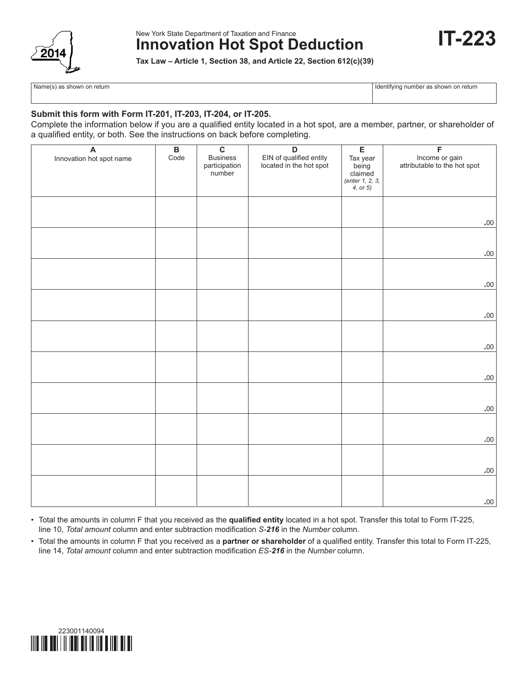

### New York State Department of Taxation and Finance **Innovation Hot Spot Deduction**



**Tax Law – Article 1, Section 38, and Article 22, Section 612(c)(39)**

Name(s) as shown on return **Identifying number as shown on return** Identifying number as shown on return

#### **Submit this form with Form IT-201, IT-203, IT-204, or IT-205.**

Complete the information below if you are a qualified entity located in a hot spot, are a member, partner, or shareholder of a qualified entity, or both. See the instructions on back before completing.

| A                        | $\overline{B}$<br>Code | $\overline{c}$<br><b>Business</b> | $\overline{D}$                                     | $\overline{E}$                                              | $\overline{F}$                                 |
|--------------------------|------------------------|-----------------------------------|----------------------------------------------------|-------------------------------------------------------------|------------------------------------------------|
| Innovation hot spot name |                        | participation<br>number           | EIN of qualified entity<br>located in the hot spot | Tax year<br>being<br>claimed<br>(enter 1, 2, 3,<br>4, or 5) | Income or gain<br>attributable to the hot spot |
|                          |                        |                                   |                                                    |                                                             |                                                |
|                          |                        |                                   |                                                    |                                                             |                                                |
|                          |                        |                                   |                                                    |                                                             | $.00 \,$                                       |
|                          |                        |                                   |                                                    |                                                             |                                                |
|                          |                        |                                   |                                                    |                                                             | $.00.$                                         |
|                          |                        |                                   |                                                    |                                                             |                                                |
|                          |                        |                                   |                                                    |                                                             | $.00 \,$                                       |
|                          |                        |                                   |                                                    |                                                             |                                                |
|                          |                        |                                   |                                                    |                                                             | $.00 \,$                                       |
|                          |                        |                                   |                                                    |                                                             |                                                |
|                          |                        |                                   |                                                    |                                                             | $.00.$                                         |
|                          |                        |                                   |                                                    |                                                             |                                                |
|                          |                        |                                   |                                                    |                                                             | $.00.$                                         |
|                          |                        |                                   |                                                    |                                                             |                                                |
|                          |                        |                                   |                                                    |                                                             | $.00 \,$                                       |
|                          |                        |                                   |                                                    |                                                             |                                                |
|                          |                        |                                   |                                                    |                                                             | $.00 \,$                                       |
|                          |                        |                                   |                                                    |                                                             |                                                |
|                          |                        |                                   |                                                    |                                                             | $.00 \,$                                       |
|                          |                        |                                   |                                                    |                                                             |                                                |
|                          |                        |                                   |                                                    |                                                             | $.00 \,$                                       |

• Total the amounts in column F that you received as the **qualified entity** located in a hot spot. Transfer this total to Form IT-225, line 10, *Total amount* column and enter subtraction modification *S-216* in the *Number* column.

• Total the amounts in column F that you received as a **partner or shareholder** of a qualified entity. Transfer this total to Form IT-225, line 14, *Total amount* column and enter subtraction modification *ES-216* in the *Number* column.